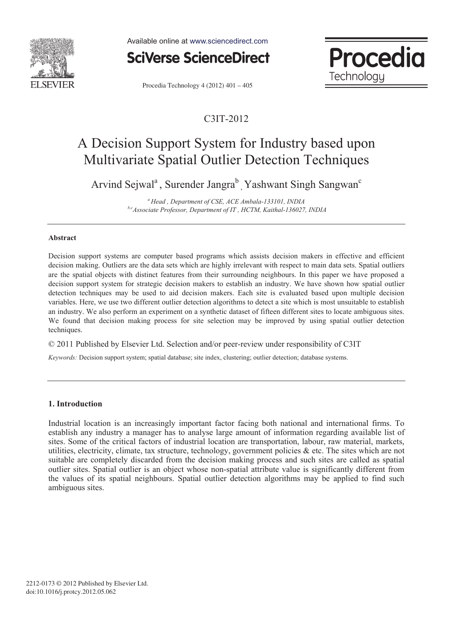

Available online at www.sciencedirect.com



Procedia Technology  $4(2012)$   $401 - 405$ 

# C3IT-2012

Procedia

Technology

# A Decision Support System for Industry based upon Multivariate Spatial Outlier Detection Techniques

Arvind Sejwal<sup>a</sup>, Surender Jangra<sup>b</sup><sub>,</sub> Yashwant Singh Sangwan<sup>c</sup>

*a Head , Department of CSE, ACE Ambala-133101, INDIA b,cAssociate Professor, Department of IT , HCTM, Kaithal-136027, INDIA* 

### **Abstract**

Decision support systems are computer based programs which assists decision makers in effective and efficient decision making. Outliers are the data sets which are highly irrelevant with respect to main data sets. Spatial outliers are the spatial objects with distinct features from their surrounding neighbours. In this paper we have proposed a decision support system for strategic decision makers to establish an industry. We have shown how spatial outlier detection techniques may be used to aid decision makers. Each site is evaluated based upon multiple decision variables. Here, we use two different outlier detection algorithms to detect a site which is most unsuitable to establish an industry. We also perform an experiment on a synthetic dataset of fifteen different sites to locate ambiguous sites. We found that decision making process for site selection may be improved by using spatial outlier detection techniques.

© 2011 Published by Elsevier Ltd. Selection and/or peer-review under responsibility of C3IT

*Keywords:* Decision support system; spatial database; site index, clustering; outlier detection; database systems.

## **1. Introduction**

Industrial location is an increasingly important factor facing both national and international firms. To establish any industry a manager has to analyse large amount of information regarding available list of sites. Some of the critical factors of industrial location are transportation, labour, raw material, markets, utilities, electricity, climate, tax structure, technology, government policies & etc. The sites which are not suitable are completely discarded from the decision making process and such sites are called as spatial outlier sites. Spatial outlier is an object whose non-spatial attribute value is significantly different from the values of its spatial neighbours. Spatial outlier detection algorithms may be applied to find such ambiguous sites.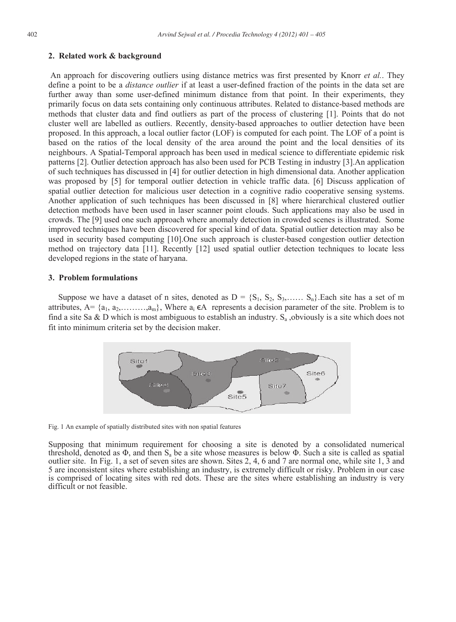### **2. Related work & background**

 An approach for discovering outliers using distance metrics was first presented by Knorr *et al.*. They define a point to be a *distance outlier* if at least a user-defined fraction of the points in the data set are further away than some user-defined minimum distance from that point. In their experiments, they primarily focus on data sets containing only continuous attributes. Related to distance-based methods are methods that cluster data and find outliers as part of the process of clustering [1]. Points that do not cluster well are labelled as outliers. Recently, density-based approaches to outlier detection have been proposed. In this approach, a local outlier factor (LOF) is computed for each point. The LOF of a point is based on the ratios of the local density of the area around the point and the local densities of its neighbours. A Spatial-Temporal approach has been used in medical science to differentiate epidemic risk patterns [2]. Outlier detection approach has also been used for PCB Testing in industry [3].An application of such techniques has discussed in [4] for outlier detection in high dimensional data. Another application was proposed by [5] for temporal outlier detection in vehicle traffic data. [6] Discuss application of spatial outlier detection for malicious user detection in a cognitive radio cooperative sensing systems. Another application of such techniques has been discussed in [8] where hierarchical clustered outlier detection methods have been used in laser scanner point clouds. Such applications may also be used in crowds. The [9] used one such approach where anomaly detection in crowded scenes is illustrated. Some improved techniques have been discovered for special kind of data. Spatial outlier detection may also be used in security based computing [10].One such approach is cluster-based congestion outlier detection method on trajectory data [11]. Recently [12] used spatial outlier detection techniques to locate less developed regions in the state of haryana.

#### **3. Problem formulations**

Suppose we have a dataset of n sites, denoted as  $D = \{S_1, S_2, S_3, \ldots, S_n\}$ . Each site has a set of m attributes,  $A = \{a_1, a_2, \ldots, a_m\}$ , Where  $a_i \in A$  represents a decision parameter of the site. Problem is to find a site Sa & D which is most ambiguous to establish an industry. S<sub>a</sub>, obviously is a site which does not fit into minimum criteria set by the decision maker.



Fig. 1 An example of spatially distributed sites with non spatial features

Supposing that minimum requirement for choosing a site is denoted by a consolidated numerical threshold, denoted as  $\Phi$ , and then  $S_a$  be a site whose measures is below  $\Phi$ . Such a site is called as spatial outlier site. In Fig. 1, a set of seven sites are shown. Sites 2, 4, 6 and 7 are normal one, while site 1, 3 and 5 are inconsistent sites where establishing an industry, is extremely difficult or risky. Problem in our case is comprised of locating sites with red dots. These are the sites where establishing an industry is very difficult or not feasible.